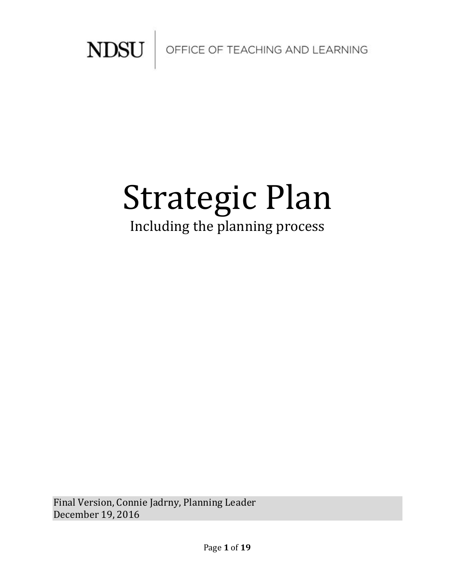

# Strategic Plan Including the planning process

Final Version, Connie Jadrny, Planning Leader December 19, 2016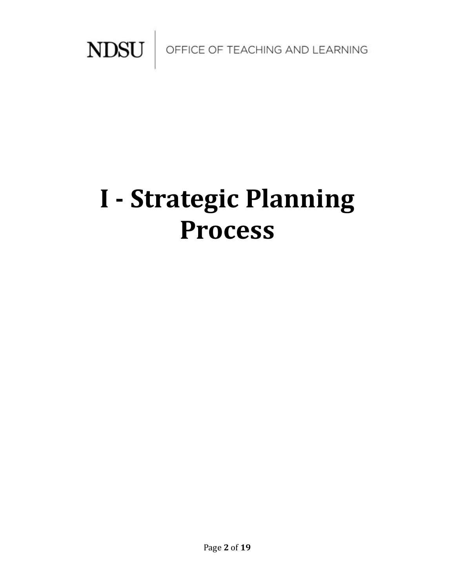

# **I - Strategic Planning Process**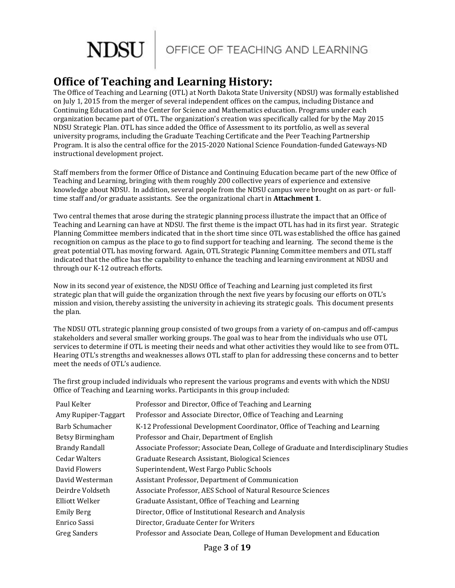

# **Office of Teaching and Learning History:**

The Office of Teaching and Learning (OTL) at North Dakota State University (NDSU) was formally established on July 1, 2015 from the merger of several independent offices on the campus, including Distance and Continuing Education and the Center for Science and Mathematics education. Programs under each organization became part of OTL. The organization's creation was specifically called for by the May 2015 NDSU Strategic Plan. OTL has since added the Office of Assessment to its portfolio, as well as several university programs, including the Graduate Teaching Certificate and the Peer Teaching Partnership Program. It is also the central office for the 2015-2020 National Science Foundation-funded Gateways-ND instructional development project.

Staff members from the former Office of Distance and Continuing Education became part of the new Office of Teaching and Learning, bringing with them roughly 200 collective years of experience and extensive knowledge about NDSU. In addition, several people from the NDSU campus were brought on as part- or fulltime staff and/or graduate assistants. See the organizational chart in **Attachment 1**.

Two central themes that arose during the strategic planning process illustrate the impact that an Office of Teaching and Learning can have at NDSU. The first theme is the impact OTL has had in its first year. Strategic Planning Committee members indicated that in the short time since OTL was established the office has gained recognition on campus as the place to go to find support for teaching and learning. The second theme is the great potential OTL has moving forward. Again, OTL Strategic Planning Committee members and OTL staff indicated that the office has the capability to enhance the teaching and learning environment at NDSU and through our K-12 outreach efforts.

Now in its second year of existence, the NDSU Office of Teaching and Learning just completed its first strategic plan that will guide the organization through the next five years by focusing our efforts on OTL's mission and vision, thereby assisting the university in achieving its strategic goals. This document presents the plan.

The NDSU OTL strategic planning group consisted of two groups from a variety of on-campus and off-campus stakeholders and several smaller working groups. The goal was to hear from the individuals who use OTL services to determine if OTL is meeting their needs and what other activities they would like to see from OTL. Hearing OTL's strengths and weaknesses allows OTL staff to plan for addressing these concerns and to better meet the needs of OTL's audience.

The first group included individuals who represent the various programs and events with which the NDSU Office of Teaching and Learning works. Participants in this group included:

| Paul Kelter           | Professor and Director, Office of Teaching and Learning                                |
|-----------------------|----------------------------------------------------------------------------------------|
| Amy Rupiper-Taggart   | Professor and Associate Director, Office of Teaching and Learning                      |
| Barb Schumacher       | K-12 Professional Development Coordinator, Office of Teaching and Learning             |
| Betsy Birmingham      | Professor and Chair, Department of English                                             |
| <b>Brandy Randall</b> | Associate Professor; Associate Dean, College of Graduate and Interdisciplinary Studies |
| <b>Cedar Walters</b>  | Graduate Research Assistant, Biological Sciences                                       |
| David Flowers         | Superintendent, West Fargo Public Schools                                              |
| David Westerman       | Assistant Professor, Department of Communication                                       |
| Deirdre Voldseth      | Associate Professor, AES School of Natural Resource Sciences                           |
| Elliott Welker        | Graduate Assistant, Office of Teaching and Learning                                    |
| <b>Emily Berg</b>     | Director, Office of Institutional Research and Analysis                                |
| Enrico Sassi          | Director, Graduate Center for Writers                                                  |
| Greg Sanders          | Professor and Associate Dean, College of Human Development and Education               |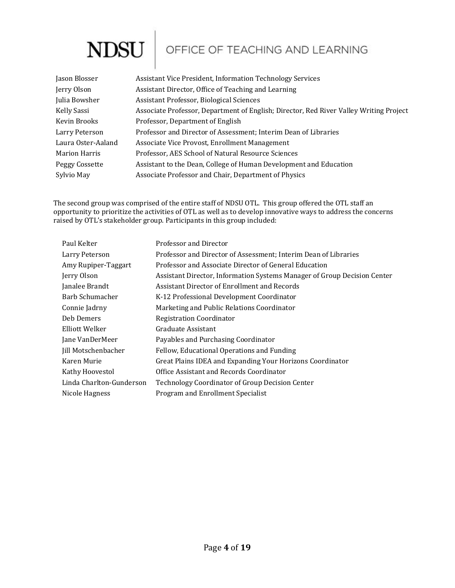# **NDSU**

# OFFICE OF TEACHING AND LEARNING

| Jason Blosser      | Assistant Vice President, Information Technology Services                              |
|--------------------|----------------------------------------------------------------------------------------|
| Jerry Olson        | Assistant Director, Office of Teaching and Learning                                    |
| Julia Bowsher      | Assistant Professor, Biological Sciences                                               |
| Kelly Sassi        | Associate Professor, Department of English; Director, Red River Valley Writing Project |
| Kevin Brooks       | Professor, Department of English                                                       |
| Larry Peterson     | Professor and Director of Assessment; Interim Dean of Libraries                        |
| Laura Oster-Aaland | Associate Vice Provost, Enrollment Management                                          |
| Marion Harris      | Professor, AES School of Natural Resource Sciences                                     |
| Peggy Cossette     | Assistant to the Dean, College of Human Development and Education                      |
| Sylvio May         | Associate Professor and Chair, Department of Physics                                   |

The second group was comprised of the entire staff of NDSU OTL. This group offered the OTL staff an opportunity to prioritize the activities of OTL as well as to develop innovative ways to address the concerns raised by OTL's stakeholder group. Participants in this group included:

| Paul Kelter                | Professor and Director                                                   |
|----------------------------|--------------------------------------------------------------------------|
| Larry Peterson             | Professor and Director of Assessment; Interim Dean of Libraries          |
| Amy Rupiper-Taggart        | Professor and Associate Director of General Education                    |
| Jerry Olson                | Assistant Director, Information Systems Manager of Group Decision Center |
| Janalee Brandt             | Assistant Director of Enrollment and Records                             |
| Barb Schumacher            | K-12 Professional Development Coordinator                                |
| Connie Jadrny              | Marketing and Public Relations Coordinator                               |
| Deb Demers                 | <b>Registration Coordinator</b>                                          |
| Elliott Welker             | Graduate Assistant                                                       |
| Jane VanDerMeer            | Payables and Purchasing Coordinator                                      |
| <b>Jill Motschenbacher</b> | Fellow, Educational Operations and Funding                               |
| Karen Murie                | Great Plains IDEA and Expanding Your Horizons Coordinator                |
| Kathy Hoovestol            | Office Assistant and Records Coordinator                                 |
| Linda Charlton-Gunderson   | Technology Coordinator of Group Decision Center                          |
| Nicole Hagness             | Program and Enrollment Specialist                                        |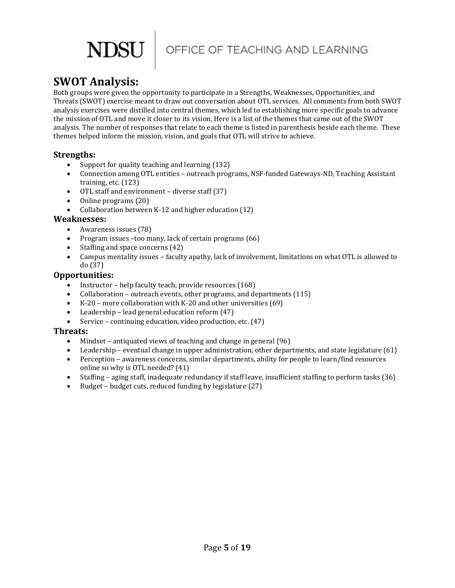

# **SWOT Analysis:**

Both groups were given the opportunity to participate in a Strengths, Weaknesses, Opportunities, and Threats (SWOT) exercise meant to draw out conversation about OTL services. All comments from both SWOT analysis exercises were distilled into central themes, which led to establishing more specific goals to advance the mission of OTL and move it closer to its vision. Here is a list of the themes that came out of the SWOT analysis. The number of responses that relate to each theme is listed in parenthesis beside each theme. These themes helped inform the mission, vision, and goals that OTL will strive to achieve.

#### **Strengths:**

- Support for quality teaching and learning (132)
- Connection among OTL entities outreach programs, NSF-funded Gateways-ND, Teaching Assistant training, etc. (123)
- OTL staff and environment diverse staff (37)
- Online programs (20)
- Collaboration between K-12 and higher education (12)

#### **Weaknesses:**

- Awareness issues (78)
- Program issues –too many, lack of certain programs (66)
- Staffing and space concerns (42)
- Campus mentality issues faculty apathy, lack of involvement, limitations on what OTL is allowed to do (37)

#### **Opportunities:**

- Instructor help faculty teach, provide resources (168)
- Collaboration outreach events, other programs, and departments (115)
- K-20 more collaboration with K-20 and other universities (69)
- Leadership lead general education reform (47)
- Service continuing education, video production, etc. (47)

#### **Threats:**

- Mindset antiquated views of teaching and change in general (96)
- Leadership eventual change in upper administration, other departments, and state legislature (61)
- Perception awareness concerns, similar departments, ability for people to learn/find resources online so why is OTL needed? (41)
- Staffing aging staff, inadequate redundancy if staff leave, insufficient staffing to perform tasks (36)
- Budget budget cuts, reduced funding by legislature (27)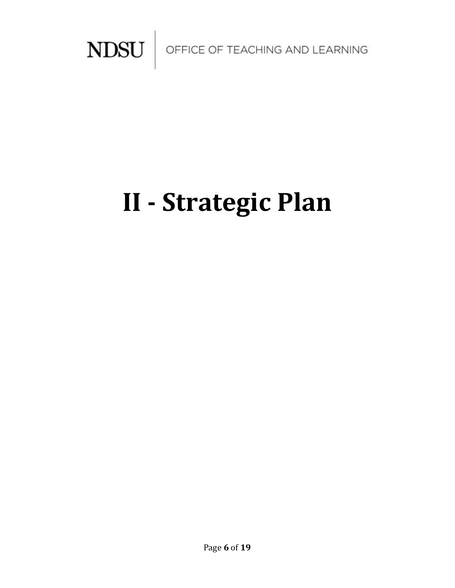

# **II - Strategic Plan**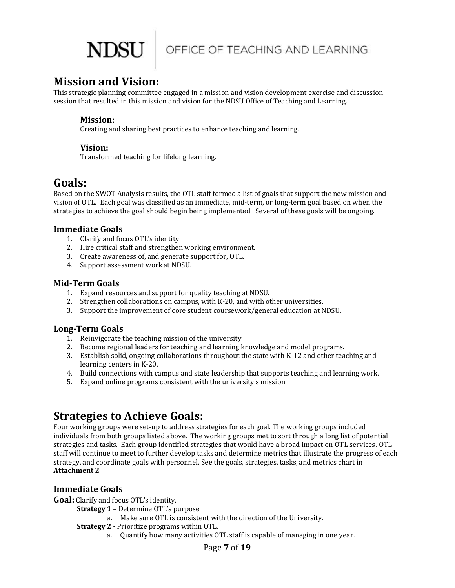

## **Mission and Vision:**

This strategic planning committee engaged in a mission and vision development exercise and discussion session that resulted in this mission and vision for the NDSU Office of Teaching and Learning.

#### **Mission:**

Creating and sharing best practices to enhance teaching and learning.

#### **Vision:**

Transformed teaching for lifelong learning.

## **Goals:**

Based on the SWOT Analysis results, the OTL staff formed a list of goals that support the new mission and vision of OTL. Each goal was classified as an immediate, mid-term, or long-term goal based on when the strategies to achieve the goal should begin being implemented. Several of these goals will be ongoing.

#### **Immediate Goals**

- 1. Clarify and focus OTL's identity.
- 2. Hire critical staff and strengthen working environment.
- 3. Create awareness of, and generate support for, OTL.
- 4. Support assessment work at NDSU.

#### **Mid-Term Goals**

- 1. Expand resources and support for quality teaching at NDSU.
- 2. Strengthen collaborations on campus, with K-20, and with other universities.
- 3. Support the improvement of core student coursework/general education at NDSU.

#### **Long-Term Goals**

- 1. Reinvigorate the teaching mission of the university.
- 2. Become regional leaders for teaching and learning knowledge and model programs.
- 3. Establish solid, ongoing collaborations throughout the state with K-12 and other teaching and learning centers in K-20.
- 4. Build connections with campus and state leadership that supports teaching and learning work.
- 5. Expand online programs consistent with the university's mission.

# **Strategies to Achieve Goals:**

Four working groups were set-up to address strategies for each goal. The working groups included individuals from both groups listed above. The working groups met to sort through a long list of potential strategies and tasks. Each group identified strategies that would have a broad impact on OTL services. OTL staff will continue to meet to further develop tasks and determine metrics that illustrate the progress of each strategy, and coordinate goals with personnel. See the goals, strategies, tasks, and metrics chart in **Attachment 2**.

### **Immediate Goals**

**Goal:** Clarify and focus OTL's identity.

**Strategy 1 –** Determine OTL's purpose.

- a. Make sure OTL is consistent with the direction of the University.
- **Strategy 2 -** Prioritize programs within OTL.
	- a. Quantify how many activities OTL staff is capable of managing in one year.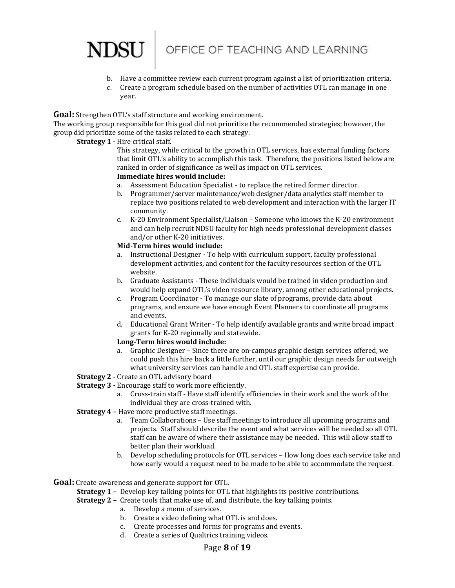

- b. Have a committee review each current program against a list of prioritization criteria.
- c. Create a program schedule based on the number of activities OTL can manage in one year.

**Goal:** Strengthen OTL's staff structure and working environment.

The working group responsible for this goal did not prioritize the recommended strategies; however, the group did prioritize some of the tasks related to each strategy.

#### **Strategy 1 -** Hire critical staff.

This strategy, while critical to the growth in OTL services, has external funding factors that limit OTL's ability to accomplish this task. Therefore, the positions listed below are ranked in order of significance as well as impact on OTL services.

#### **Immediate hires would include:**

- a. Assessment Education Specialist to replace the retired former director.
- b. Programmer/server maintenance/web designer/data analytics staff member to replace two positions related to web development and interaction with the larger IT community.
- c. K-20 Environment Specialist/Liaison Someone who knows the K-20 environment and can help recruit NDSU faculty for high needs professional development classes and/or other K-20 initiatives.

#### **Mid-Term hires would include:**

- a. Instructional Designer To help with curriculum support, faculty professional development activities, and content for the faculty resources section of the OTL website.
- b. Graduate Assistants These individuals would be trained in video production and would help expand OTL's video resource library, among other educational projects.
- c. Program Coordinator To manage our slate of programs, provide data about programs, and ensure we have enough Event Planners to coordinate all programs and events.
- d. Educational Grant Writer To help identify available grants and write broad impact grants for K-20 regionally and statewide.

#### **Long-Term hires would include:**

- a. Graphic Designer Since there are on-campus graphic design services offered, we could push this hire back a little further, until our graphic design needs far outweigh what university services can handle and OTL staff expertise can provide.
- **Strategy 2 -** Create an OTL advisory board
- **Strategy 3 -** Encourage staff to work more efficiently.
	- a. Cross-train staff Have staff identify efficiencies in their work and the work of the individual they are cross-trained with.
- **Strategy 4 –** Have more productive staff meetings.
	- a. Team Collaborations Use staff meetings to introduce all upcoming programs and projects. Staff should describe the event and what services will be needed so all OTL staff can be aware of where their assistance may be needed. This will allow staff to better plan their workload.
	- b. Develop scheduling protocols for OTL services How long does each service take and how early would a request need to be made to be able to accommodate the request.

**Goal:** Create awareness and generate support for OTL.

**Strategy 1 –** Develop key talking points for OTL that highlights its positive contributions.

- **Strategy 2 –** Create tools that make use of, and distribute, the key talking points.
	- a. Develop a menu of services.
	- b. Create a video defining what OTL is and does.
	- c. Create processes and forms for programs and events.
	- d. Create a series of Qualtrics training videos.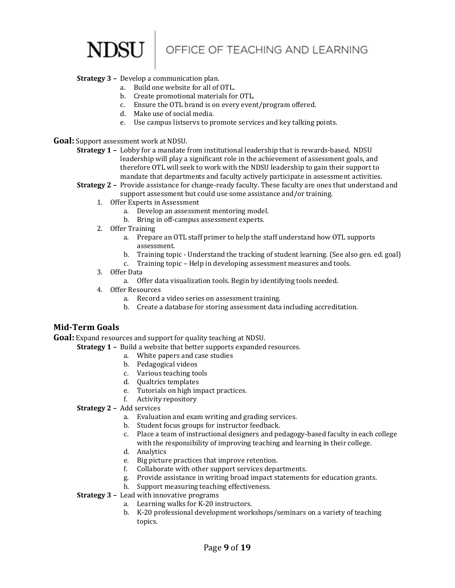OFFICE OF TEACHING AND LEARNING

#### **Strategy 3 –** Develop a communication plan.

- a. Build one website for all of OTL.
- b. Create promotional materials for OTL.
- c. Ensure the OTL brand is on every event/program offered.
- d. Make use of social media.
- e. Use campus listservs to promote services and key talking points.
- **Goal:** Support assessment work at NDSU.
	- **Strategy 1 –** Lobby for a mandate from institutional leadership that is rewards-based. NDSU leadership will play a significant role in the achievement of assessment goals, and therefore OTL will seek to work with the NDSU leadership to gain their support to mandate that departments and faculty actively participate in assessment activities.
	- **Strategy 2 –** Provide assistance for change-ready faculty. These faculty are ones that understand and support assessment but could use some assistance and/or training.
		- 1. Offer Experts in Assessment
			- a. Develop an assessment mentoring model.
			- b. Bring in off-campus assessment experts.
		- 2. Offer Training
			- a. Prepare an OTL staff primer to help the staff understand how OTL supports assessment.
			- b. Training topic Understand the tracking of student learning. (See also gen. ed. goal)
			- c. Training topic Help in developing assessment measures and tools.
		- 3. Offer Data
			- a. Offer data visualization tools. Begin by identifying tools needed.
		- 4. Offer Resources
			- a. Record a video series on assessment training.
			- b. Create a database for storing assessment data including accreditation.

#### **Mid-Term Goals**

**Goal:** Expand resources and support for quality teaching at NDSU.

**Strategy 1 –** Build a website that better supports expanded resources.

- a. White papers and case studies
- b. Pedagogical videos
- c. Various teaching tools
- d. Qualtrics templates
- e. Tutorials on high impact practices.
- f. Activity repository
- **Strategy 2 –** Add services
	- a. Evaluation and exam writing and grading services.
	- b. Student focus groups for instructor feedback.
	- c. Place a team of instructional designers and pedagogy-based faculty in each college with the responsibility of improving teaching and learning in their college.
	- d. Analytics
	- e. Big picture practices that improve retention.
	- f. Collaborate with other support services departments.
	- g. Provide assistance in writing broad impact statements for education grants.
	- h. Support measuring teaching effectiveness.
- **Strategy 3 –** Lead with innovative programs
	- a. Learning walks for K-20 instructors.
	- b. K-20 professional development workshops/seminars on a variety of teaching topics.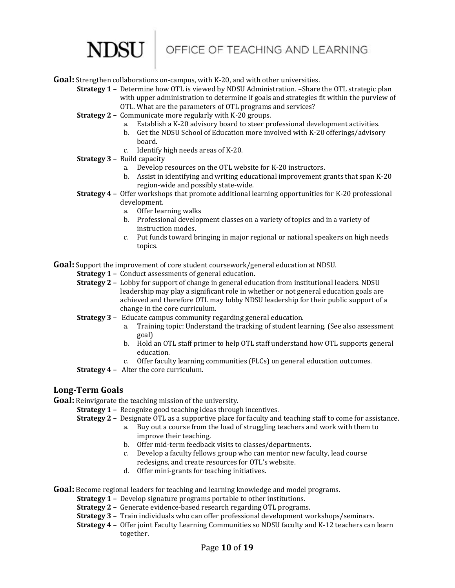# NDSU

**Goal:** Strengthen collaborations on-campus, with K-20, and with other universities.

- **Strategy 1 –** Determine how OTL is viewed by NDSU Administration. –Share the OTL strategic plan with upper administration to determine if goals and strategies fit within the purview of OTL. What are the parameters of OTL programs and services?
- **Strategy 2 –** Communicate more regularly with K-20 groups.
	- a. Establish a K-20 advisory board to steer professional development activities.
	- b. Get the NDSU School of Education more involved with K-20 offerings/advisory board.
	- c. Identify high needs areas of K-20.
- **Strategy 3 –** Build capacity
	- a. Develop resources on the OTL website for K-20 instructors.
	- b. Assist in identifying and writing educational improvement grants that span K-20 region-wide and possibly state-wide.
- **Strategy 4 –** Offer workshops that promote additional learning opportunities for K-20 professional development.
	- a. Offer learning walks
	- b. Professional development classes on a variety of topics and in a variety of instruction modes.
	- c. Put funds toward bringing in major regional or national speakers on high needs topics.

**Goal:** Support the improvement of core student coursework/general education at NDSU.

**Strategy 1 –** Conduct assessments of general education.

- **Strategy 2 –** Lobby for support of change in general education from institutional leaders. NDSU leadership may play a significant role in whether or not general education goals are achieved and therefore OTL may lobby NDSU leadership for their public support of a change in the core curriculum.
- **Strategy 3 –** Educate campus community regarding general education.
	- a. Training topic: Understand the tracking of student learning. (See also assessment goal)
	- b. Hold an OTL staff primer to help OTL staff understand how OTL supports general education.
	- c. Offer faculty learning communities (FLCs) on general education outcomes.
- **Strategy 4 –** Alter the core curriculum.

#### **Long-Term Goals**

**Goal:** Reinvigorate the teaching mission of the university.

- **Strategy 1 -** Recognize good teaching ideas through incentives.
	- **Strategy 2 –** Designate OTL as a supportive place for faculty and teaching staff to come for assistance.
		- a. Buy out a course from the load of struggling teachers and work with them to improve their teaching.
		- b. Offer mid-term feedback visits to classes/departments.
		- c. Develop a faculty fellows group who can mentor new faculty, lead course redesigns, and create resources for OTL's website.
		- d. Offer mini-grants for teaching initiatives.

**Goal:** Become regional leaders for teaching and learning knowledge and model programs.

**Strategy 1 –** Develop signature programs portable to other institutions.

- **Strategy 2 –** Generate evidence-based research regarding OTL programs.
- **Strategy 3 –** Train individuals who can offer professional development workshops/seminars.
- **Strategy 4 –** Offer joint Faculty Learning Communities so NDSU faculty and K-12 teachers can learn together.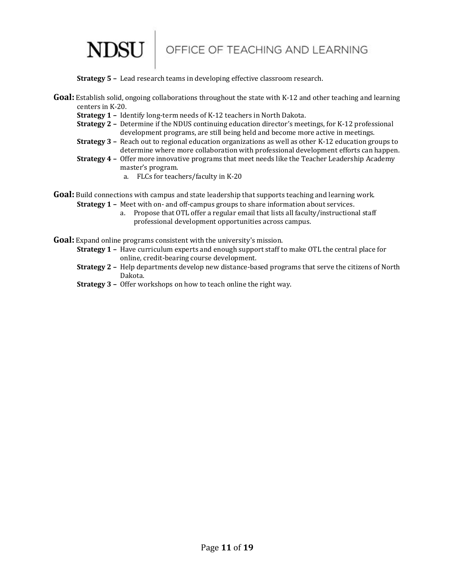

**Strategy 5 –** Lead research teams in developing effective classroom research.

- **Goal:** Establish solid, ongoing collaborations throughout the state with K-12 and other teaching and learning centers in K-20.
	- **Strategy 1 –** Identify long-term needs of K-12 teachers in North Dakota.

**NDSU** 

- **Strategy 2 –** Determine if the NDUS continuing education director's meetings, for K-12 professional development programs, are still being held and become more active in meetings.
- **Strategy 3 –** Reach out to regional education organizations as well as other K-12 education groups to determine where more collaboration with professional development efforts can happen.
- **Strategy 4 –** Offer more innovative programs that meet needs like the Teacher Leadership Academy master's program.
	- a. FLCs for teachers/faculty in K-20

**Goal:** Build connections with campus and state leadership that supports teaching and learning work. **Strategy 1 –** Meet with on- and off-campus groups to share information about services.

- a. Propose that OTL offer a regular email that lists all faculty/instructional staff professional development opportunities across campus.
- **Goal:** Expand online programs consistent with the university's mission.
	- **Strategy 1 –** Have curriculum experts and enough support staff to make OTL the central place for online, credit-bearing course development.
	- **Strategy 2 –** Help departments develop new distance-based programs that serve the citizens of North Dakota.
	- **Strategy 3 –** Offer workshops on how to teach online the right way.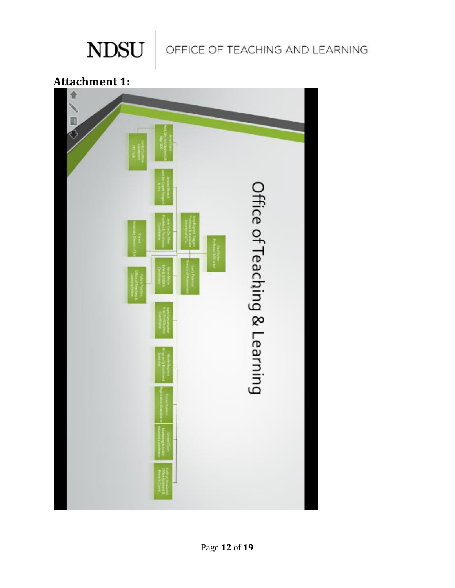

OFFICE OF TEACHING AND LEARNING

**Attachment 1:**

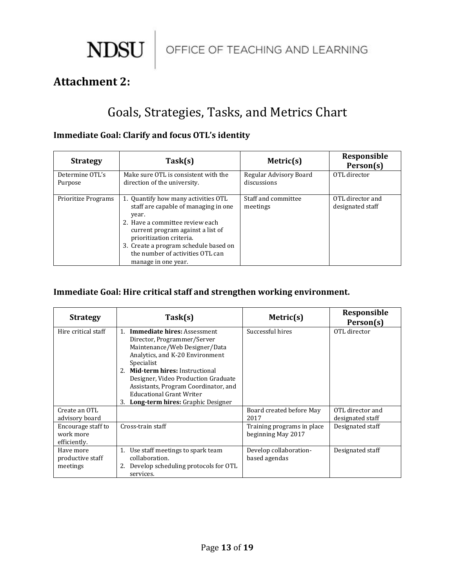$\begin{array}{c|c|c} \textbf{NDSU} & \textbf{OFFICE OF TEACHING AND LEARNING} \end{array}$ 

# **Attachment 2:**

# Goals, Strategies, Tasks, and Metrics Chart

### **Immediate Goal: Clarify and focus OTL's identity**

| <b>Strategy</b>            | Task(s)                                                                                                                                                                                                                                                                                      | Metric $(s)$                          | Responsible<br>Person(s)             |
|----------------------------|----------------------------------------------------------------------------------------------------------------------------------------------------------------------------------------------------------------------------------------------------------------------------------------------|---------------------------------------|--------------------------------------|
| Determine OTL's<br>Purpose | Make sure OTL is consistent with the<br>direction of the university.                                                                                                                                                                                                                         | Regular Advisory Board<br>discussions | OTL director                         |
| <b>Prioritize Programs</b> | 1. Quantify how many activities OTL<br>staff are capable of managing in one<br>year.<br>2. Have a committee review each<br>current program against a list of<br>prioritization criteria.<br>3. Create a program schedule based on<br>the number of activities OTL can<br>manage in one year. | Staff and committee<br>meetings       | OTL director and<br>designated staff |

## **Immediate Goal: Hire critical staff and strengthen working environment.**

| <b>Strategy</b>                                 | Task(s)                                                                                                                                                                                                                                                                                                                                                            | Metric(s)                                        | Responsible<br>Person(s)             |
|-------------------------------------------------|--------------------------------------------------------------------------------------------------------------------------------------------------------------------------------------------------------------------------------------------------------------------------------------------------------------------------------------------------------------------|--------------------------------------------------|--------------------------------------|
| Hire critical staff                             | <b>Immediate hires: Assessment</b><br>$1_{-}$<br>Director, Programmer/Server<br>Maintenance/Web Designer/Data<br>Analytics, and K-20 Environment<br>Specialist<br>Mid-term hires: Instructional<br>2.<br>Designer, Video Production Graduate<br>Assistants, Program Coordinator, and<br><b>Educational Grant Writer</b><br>Long-term hires: Graphic Designer<br>3. | Successful hires                                 | OTL director                         |
| Create an OTL<br>advisory board                 |                                                                                                                                                                                                                                                                                                                                                                    | Board created before May<br>2017                 | OTL director and<br>designated staff |
| Encourage staff to<br>work more<br>efficiently. | Cross-train staff                                                                                                                                                                                                                                                                                                                                                  | Training programs in place<br>beginning May 2017 | Designated staff                     |
| Have more<br>productive staff<br>meetings       | Use staff meetings to spark team<br>1.<br>collaboration.<br>Develop scheduling protocols for OTL<br>services.                                                                                                                                                                                                                                                      | Develop collaboration-<br>based agendas          | Designated staff                     |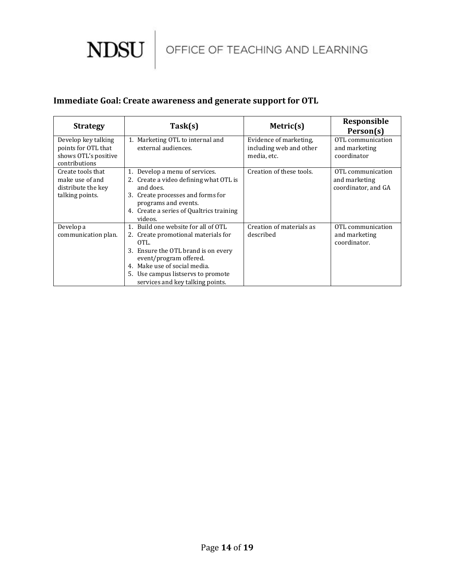

### **Immediate Goal: Create awareness and generate support for OTL**

| <b>Strategy</b>                                                                     | Task(s)                                                                                                                                                                                                                                                       | Metric(s)                                                        | Responsible<br>Person(s)                                  |
|-------------------------------------------------------------------------------------|---------------------------------------------------------------------------------------------------------------------------------------------------------------------------------------------------------------------------------------------------------------|------------------------------------------------------------------|-----------------------------------------------------------|
| Develop key talking<br>points for OTL that<br>shows OTL's positive<br>contributions | 1. Marketing OTL to internal and<br>external audiences.                                                                                                                                                                                                       | Evidence of marketing,<br>including web and other<br>media, etc. | OTL communication<br>and marketing<br>coordinator         |
| Create tools that<br>make use of and<br>distribute the key<br>talking points.       | Develop a menu of services.<br>2. Create a video defining what OTL is<br>and does.<br>3. Create processes and forms for<br>programs and events.<br>4. Create a series of Qualtrics training<br>videos.                                                        | Creation of these tools.                                         | OTL communication<br>and marketing<br>coordinator, and GA |
| Develop a<br>communication plan.                                                    | 1. Build one website for all of OTL<br>2. Create promotional materials for<br>OTL.<br>3. Ensure the OTL brand is on every<br>event/program offered.<br>4. Make use of social media.<br>5. Use campus listservs to promote<br>services and key talking points. | Creation of materials as<br>described                            | OTL communication<br>and marketing<br>coordinator.        |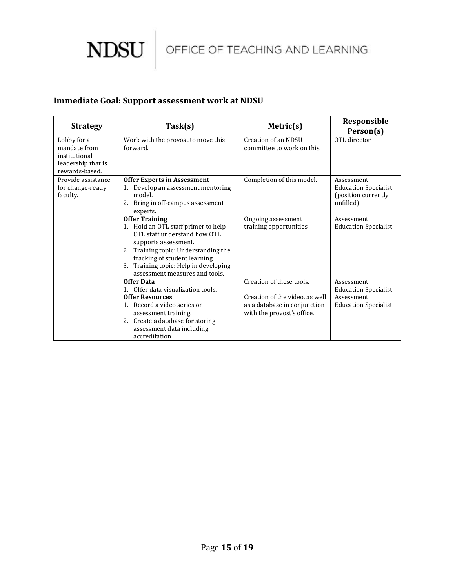

## **Immediate Goal: Support assessment work at NDSU**

| <b>Strategy</b>                                                                      | Task(s)                                                                                                                                                                                                                                                                  | Metric $(s)$                                                                                                             | Responsible                                                                            |
|--------------------------------------------------------------------------------------|--------------------------------------------------------------------------------------------------------------------------------------------------------------------------------------------------------------------------------------------------------------------------|--------------------------------------------------------------------------------------------------------------------------|----------------------------------------------------------------------------------------|
| Lobby for a<br>mandate from<br>institutional<br>leadership that is<br>rewards-based. | Work with the provost to move this<br>forward.                                                                                                                                                                                                                           | Creation of an NDSU<br>committee to work on this.                                                                        | Person(s)<br>OTL director                                                              |
| Provide assistance<br>for change-ready<br>faculty.                                   | <b>Offer Experts in Assessment</b><br>Develop an assessment mentoring<br>model.<br>2. Bring in off-campus assessment<br>experts.                                                                                                                                         | Completion of this model.                                                                                                | Assessment<br><b>Education Specialist</b><br>(position currently)<br>unfilled)         |
|                                                                                      | <b>Offer Training</b><br>1. Hold an OTL staff primer to help<br>OTL staff understand how OTL<br>supports assessment.<br>2. Training topic: Understanding the<br>tracking of student learning.<br>3. Training topic: Help in developing<br>assessment measures and tools. | Ongoing assessment<br>training opportunities                                                                             | Assessment<br><b>Education Specialist</b>                                              |
|                                                                                      | <b>Offer Data</b><br>1. Offer data visualization tools.<br><b>Offer Resources</b><br>1. Record a video series on<br>assessment training.<br>2. Create a database for storing<br>assessment data including<br>accreditation.                                              | Creation of these tools.<br>Creation of the video, as well<br>as a database in conjunction<br>with the provost's office. | Assessment<br><b>Education Specialist</b><br>Assessment<br><b>Education Specialist</b> |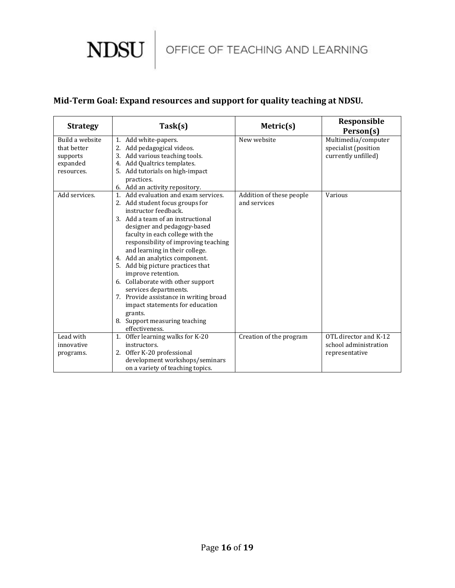

## **Mid-Term Goal: Expand resources and support for quality teaching at NDSU.**

| <b>Strategy</b>                                                      | Task(s)                                                                                                                                                                                                                                                                                                                                                                                                                                                                                                                                                                              | Metric(s)                                | Responsible<br>Person(s)                                           |
|----------------------------------------------------------------------|--------------------------------------------------------------------------------------------------------------------------------------------------------------------------------------------------------------------------------------------------------------------------------------------------------------------------------------------------------------------------------------------------------------------------------------------------------------------------------------------------------------------------------------------------------------------------------------|------------------------------------------|--------------------------------------------------------------------|
| Build a website<br>that better<br>supports<br>expanded<br>resources. | 1. Add white-papers.<br>2. Add pedagogical videos.<br>3. Add various teaching tools.<br>4. Add Qualtrics templates.<br>5. Add tutorials on high-impact<br>practices.<br>6. Add an activity repository.                                                                                                                                                                                                                                                                                                                                                                               | New website                              | Multimedia/computer<br>specialist (position<br>currently unfilled) |
| Add services.                                                        | Add evaluation and exam services.<br>2. Add student focus groups for<br>instructor feedback.<br>3. Add a team of an instructional<br>designer and pedagogy-based<br>faculty in each college with the<br>responsibility of improving teaching<br>and learning in their college.<br>4. Add an analytics component.<br>5. Add big picture practices that<br>improve retention.<br>6. Collaborate with other support<br>services departments.<br>7. Provide assistance in writing broad<br>impact statements for education<br>grants.<br>8. Support measuring teaching<br>effectiveness. | Addition of these people<br>and services | Various                                                            |
| Lead with<br>innovative<br>programs.                                 | Offer learning walks for K-20<br>1.<br>instructors.<br>2. Offer K-20 professional<br>development workshops/seminars<br>on a variety of teaching topics.                                                                                                                                                                                                                                                                                                                                                                                                                              | Creation of the program                  | OTL director and K-12<br>school administration<br>representative   |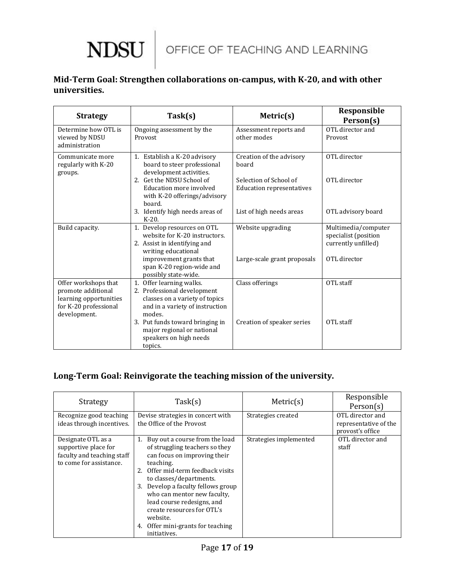# **NDSU**

## **Mid-Term Goal: Strengthen collaborations on-campus, with K-20, and with other universities.**

| <b>Strategy</b>                                                                                               | Task(s)                                                                                                                                                                        | Metric(s)                                                                                       | Responsible<br>Person(s)                                                           |
|---------------------------------------------------------------------------------------------------------------|--------------------------------------------------------------------------------------------------------------------------------------------------------------------------------|-------------------------------------------------------------------------------------------------|------------------------------------------------------------------------------------|
| Determine how OTL is<br>viewed by NDSU<br>administration                                                      | Ongoing assessment by the<br>Provost                                                                                                                                           | Assessment reports and<br>other modes                                                           | OTL director and<br>Provost                                                        |
| Communicate more<br>regularly with K-20<br>groups.                                                            | 1. Establish a K-20 advisory<br>board to steer professional<br>development activities.<br>2. Get the NDSU School of<br>Education more involved<br>with K-20 offerings/advisory | Creation of the advisory<br>board<br>Selection of School of<br><b>Education representatives</b> | OTL director<br>OTL director                                                       |
|                                                                                                               | board.<br>3. Identify high needs areas of<br>$K-20$ .                                                                                                                          | List of high needs areas                                                                        | OTL advisory board                                                                 |
| Build capacity.                                                                                               | 1. Develop resources on OTL<br>website for K-20 instructors.<br>2. Assist in identifying and<br>writing educational<br>improvement grants that                                 | Website upgrading<br>Large-scale grant proposals                                                | Multimedia/computer<br>specialist (position<br>currently unfilled)<br>OTL director |
|                                                                                                               | span K-20 region-wide and<br>possibly state-wide.                                                                                                                              |                                                                                                 |                                                                                    |
| Offer workshops that<br>promote additional<br>learning opportunities<br>for K-20 professional<br>development. | 1. Offer learning walks.<br>2. Professional development<br>classes on a variety of topics<br>and in a variety of instruction<br>modes.                                         | Class offerings                                                                                 | OTL staff                                                                          |
|                                                                                                               | 3. Put funds toward bringing in<br>major regional or national<br>speakers on high needs<br>topics.                                                                             | Creation of speaker series                                                                      | OTL staff                                                                          |

## **Long-Term Goal: Reinvigorate the teaching mission of the university.**

| <b>Strategy</b>                                                                                     | Task(s)                                                                                                                                                                                                                                                                                                                                                                                  | Metric(s)              | Responsible<br>Person(s)                                      |
|-----------------------------------------------------------------------------------------------------|------------------------------------------------------------------------------------------------------------------------------------------------------------------------------------------------------------------------------------------------------------------------------------------------------------------------------------------------------------------------------------------|------------------------|---------------------------------------------------------------|
| Recognize good teaching<br>ideas through incentives.                                                | Devise strategies in concert with<br>the Office of the Provost                                                                                                                                                                                                                                                                                                                           | Strategies created     | OTL director and<br>representative of the<br>provost's office |
| Designate OTL as a<br>supportive place for<br>faculty and teaching staff<br>to come for assistance. | Buy out a course from the load<br>1.<br>of struggling teachers so they<br>can focus on improving their<br>teaching.<br>Offer mid-term feedback visits<br>to classes/departments.<br>Develop a faculty fellows group<br>3.<br>who can mentor new faculty.<br>lead course redesigns, and<br>create resources for OTL's<br>website.<br>Offer mini-grants for teaching<br>4.<br>initiatives. | Strategies implemented | OTL director and<br>staff                                     |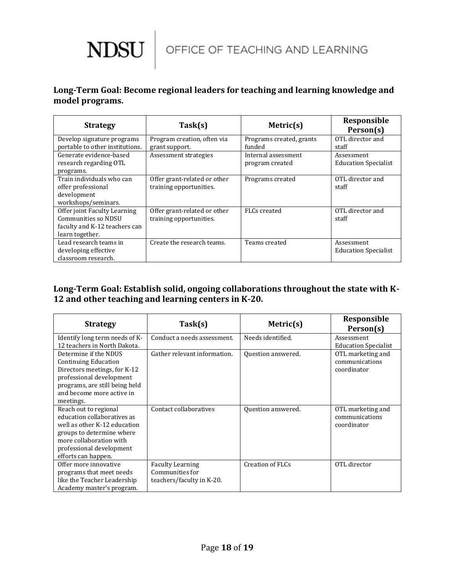

### **Long-Term Goal: Become regional leaders for teaching and learning knowledge and model programs.**

| <b>Strategy</b>                                                                                         | Task(s)                                                 | Metric(s)                              | Responsible<br>Person(s)                  |
|---------------------------------------------------------------------------------------------------------|---------------------------------------------------------|----------------------------------------|-------------------------------------------|
| Develop signature programs<br>portable to other institutions.                                           | Program creation, often via<br>grant support.           | Programs created, grants<br>funded     | OTL director and<br>staff                 |
| Generate evidence-based<br>research regarding OTL<br>programs.                                          | Assessment strategies                                   | Internal assessment<br>program created | Assessment<br><b>Education Specialist</b> |
| Train individuals who can<br>offer professional<br>development<br>workshops/seminars.                   | Offer grant-related or other<br>training opportunities. | Programs created                       | OTL director and<br>staff                 |
| Offer joint Faculty Learning<br>Communities so NDSU<br>faculty and K-12 teachers can<br>learn together. | Offer grant-related or other<br>training opportunities. | FLCs created                           | OTL director and<br>staff                 |
| Lead research teams in<br>developing effective<br>classroom research.                                   | Create the research teams.                              | Teams created                          | Assessment<br><b>Education Specialist</b> |

### **Long-Term Goal: Establish solid, ongoing collaborations throughout the state with K-12 and other teaching and learning centers in K-20.**

| <b>Strategy</b>                                                                                                                                                                                 | Task(s)                                                                 | Metric(s)               | Responsible<br>Person(s)                           |
|-------------------------------------------------------------------------------------------------------------------------------------------------------------------------------------------------|-------------------------------------------------------------------------|-------------------------|----------------------------------------------------|
| Identify long term needs of K-                                                                                                                                                                  | Conduct a needs assessment.                                             | Needs identified.       | Assessment                                         |
| 12 teachers in North Dakota.                                                                                                                                                                    |                                                                         |                         | <b>Education Specialist</b>                        |
| Determine if the NDUS<br><b>Continuing Education</b><br>Directors meetings, for K-12<br>professional development<br>programs, are still being held<br>and become more active in<br>meetings.    | Gather relevant information.                                            | Question answered.      | OTL marketing and<br>communications<br>coordinator |
| Reach out to regional<br>education collaboratives as<br>well as other K-12 education<br>groups to determine where<br>more collaboration with<br>professional development<br>efforts can happen. | Contact collaboratives                                                  | Question answered.      | OTL marketing and<br>communications<br>coordinator |
| Offer more innovative<br>programs that meet needs<br>like the Teacher Leadership<br>Academy master's program.                                                                                   | <b>Faculty Learning</b><br>Communities for<br>teachers/faculty in K-20. | <b>Creation of FLCs</b> | OTL director                                       |